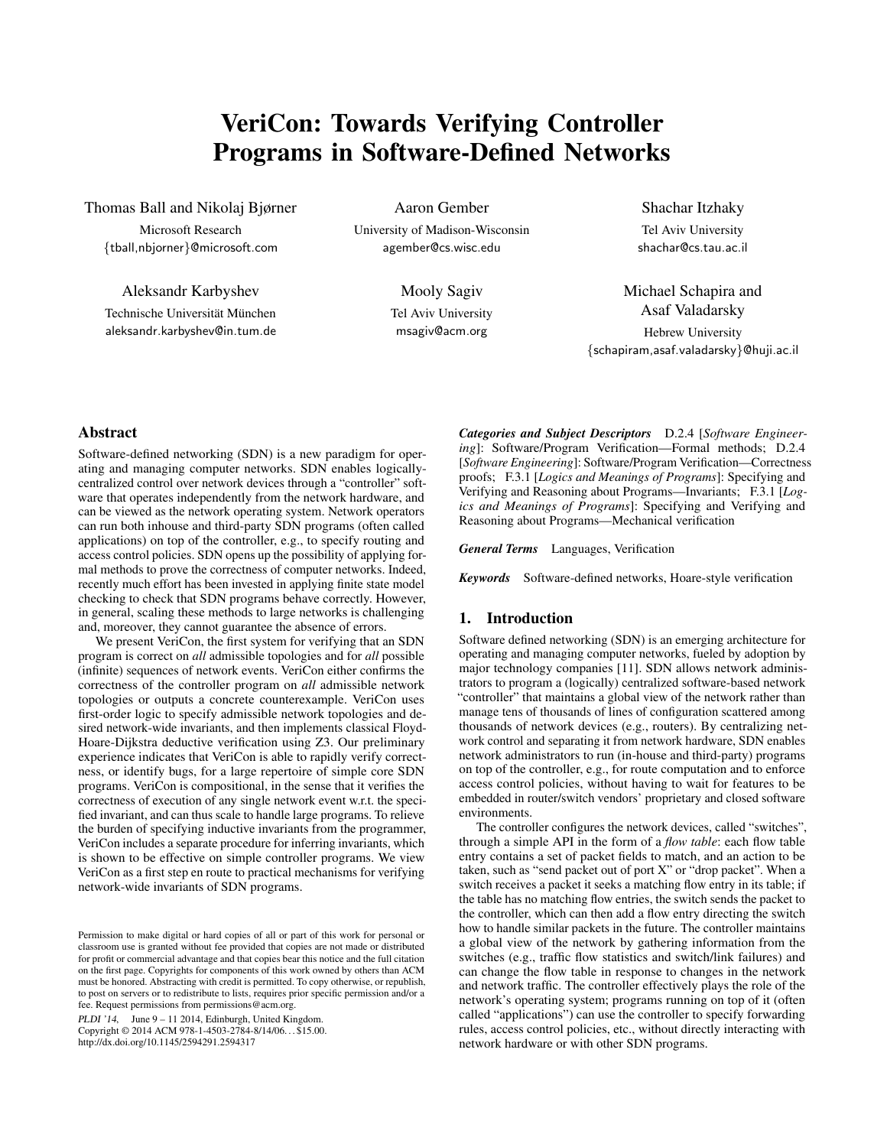# VeriCon: Towards Verifying Controller Programs in Software-Defined Networks

Thomas Ball and Nikolaj Bjørner

Microsoft Research {tball,nbjorner}@microsoft.com

Aleksandr Karbyshev

Technische Universität München aleksandr.karbyshev@in.tum.de

Aaron Gember University of Madison-Wisconsin agember@cs.wisc.edu

> Mooly Sagiv Tel Aviv University msagiv@acm.org

Shachar Itzhaky

Tel Aviv University shachar@cs.tau.ac.il

Michael Schapira and Asaf Valadarsky Hebrew University {schapiram,asaf.valadarsky}@huji.ac.il

# Abstract

Software-defined networking (SDN) is a new paradigm for operating and managing computer networks. SDN enables logicallycentralized control over network devices through a "controller" software that operates independently from the network hardware, and can be viewed as the network operating system. Network operators can run both inhouse and third-party SDN programs (often called applications) on top of the controller, e.g., to specify routing and access control policies. SDN opens up the possibility of applying formal methods to prove the correctness of computer networks. Indeed, recently much effort has been invested in applying finite state model checking to check that SDN programs behave correctly. However, in general, scaling these methods to large networks is challenging and, moreover, they cannot guarantee the absence of errors.

We present VeriCon, the first system for verifying that an SDN program is correct on *all* admissible topologies and for *all* possible (infinite) sequences of network events. VeriCon either confirms the correctness of the controller program on *all* admissible network topologies or outputs a concrete counterexample. VeriCon uses first-order logic to specify admissible network topologies and desired network-wide invariants, and then implements classical Floyd-Hoare-Dijkstra deductive verification using Z3. Our preliminary experience indicates that VeriCon is able to rapidly verify correctness, or identify bugs, for a large repertoire of simple core SDN programs. VeriCon is compositional, in the sense that it verifies the correctness of execution of any single network event w.r.t. the specified invariant, and can thus scale to handle large programs. To relieve the burden of specifying inductive invariants from the programmer, VeriCon includes a separate procedure for inferring invariants, which is shown to be effective on simple controller programs. We view VeriCon as a first step en route to practical mechanisms for verifying network-wide invariants of SDN programs.

PLDI '14, June 9 – 11 2014, Edinburgh, United Kingdom. Copyright © 2014 ACM 978-1-4503-2784-8/14/06. . . \$15.00. http://dx.doi.org/10.1145/2594291.2594317

*Categories and Subject Descriptors* D.2.4 [*Software Engineering*]: Software/Program Verification—Formal methods; D.2.4 [*Software Engineering*]: Software/Program Verification—Correctness proofs; F.3.1 [*Logics and Meanings of Programs*]: Specifying and Verifying and Reasoning about Programs—Invariants; F.3.1 [*Logics and Meanings of Programs*]: Specifying and Verifying and Reasoning about Programs—Mechanical verification

*General Terms* Languages, Verification

*Keywords* Software-defined networks, Hoare-style verification

# 1. Introduction

Software defined networking (SDN) is an emerging architecture for operating and managing computer networks, fueled by adoption by major technology companies [11]. SDN allows network administrators to program a (logically) centralized software-based network "controller" that maintains a global view of the network rather than manage tens of thousands of lines of configuration scattered among thousands of network devices (e.g., routers). By centralizing network control and separating it from network hardware, SDN enables network administrators to run (in-house and third-party) programs on top of the controller, e.g., for route computation and to enforce access control policies, without having to wait for features to be embedded in router/switch vendors' proprietary and closed software environments.

The controller configures the network devices, called "switches", through a simple API in the form of a *flow table*: each flow table entry contains a set of packet fields to match, and an action to be taken, such as "send packet out of port X" or "drop packet". When a switch receives a packet it seeks a matching flow entry in its table; if the table has no matching flow entries, the switch sends the packet to the controller, which can then add a flow entry directing the switch how to handle similar packets in the future. The controller maintains a global view of the network by gathering information from the switches (e.g., traffic flow statistics and switch/link failures) and can change the flow table in response to changes in the network and network traffic. The controller effectively plays the role of the network's operating system; programs running on top of it (often called "applications") can use the controller to specify forwarding rules, access control policies, etc., without directly interacting with network hardware or with other SDN programs.

Permission to make digital or hard copies of all or part of this work for personal or classroom use is granted without fee provided that copies are not made or distributed for profit or commercial advantage and that copies bear this notice and the full citation on the first page. Copyrights for components of this work owned by others than ACM must be honored. Abstracting with credit is permitted. To copy otherwise, or republish, to post on servers or to redistribute to lists, requires prior specific permission and/or a fee. Request permissions from permissions@acm.org.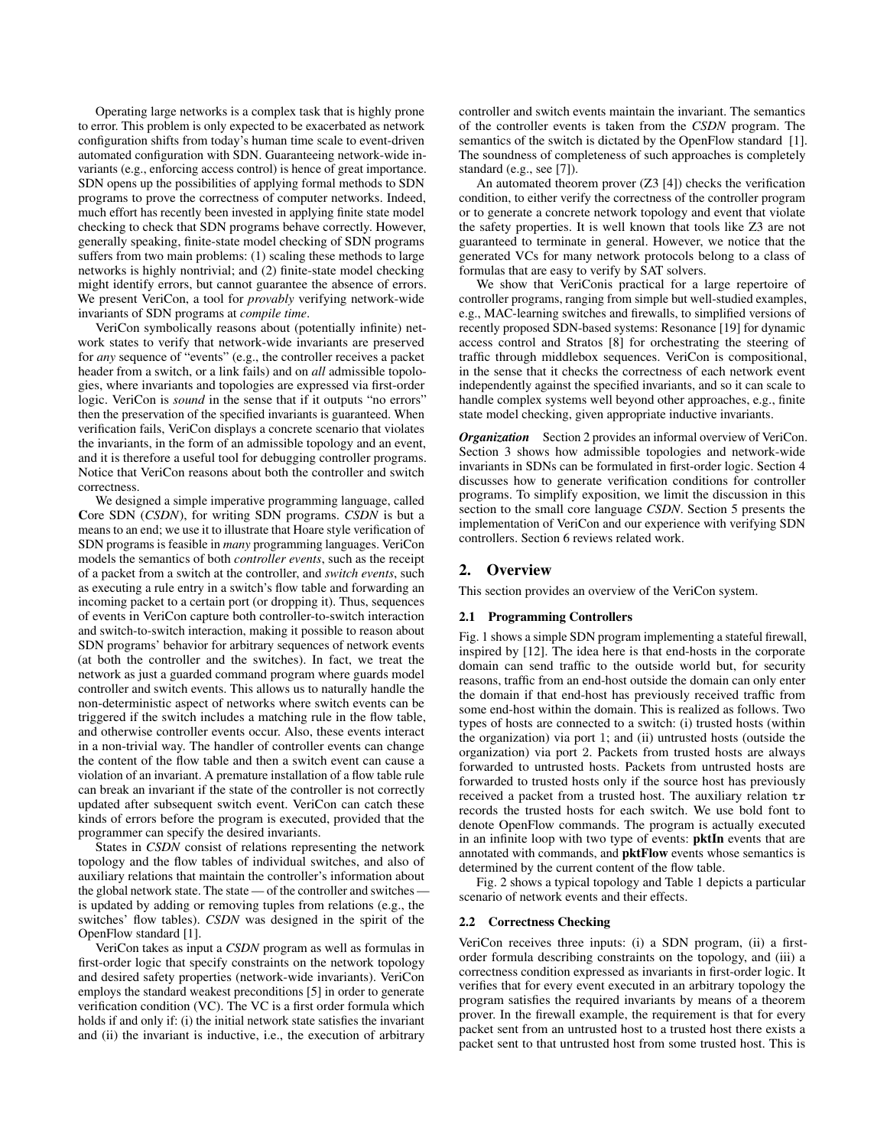Operating large networks is a complex task that is highly prone to error. This problem is only expected to be exacerbated as network configuration shifts from today's human time scale to event-driven automated configuration with SDN. Guaranteeing network-wide invariants (e.g., enforcing access control) is hence of great importance. SDN opens up the possibilities of applying formal methods to SDN programs to prove the correctness of computer networks. Indeed, much effort has recently been invested in applying finite state model checking to check that SDN programs behave correctly. However, generally speaking, finite-state model checking of SDN programs suffers from two main problems: (1) scaling these methods to large networks is highly nontrivial; and (2) finite-state model checking might identify errors, but cannot guarantee the absence of errors. We present VeriCon, a tool for *provably* verifying network-wide invariants of SDN programs at *compile time*.

VeriCon symbolically reasons about (potentially infinite) network states to verify that network-wide invariants are preserved for *any* sequence of "events" (e.g., the controller receives a packet header from a switch, or a link fails) and on *all* admissible topologies, where invariants and topologies are expressed via first-order logic. VeriCon is *sound* in the sense that if it outputs "no errors" then the preservation of the specified invariants is guaranteed. When verification fails, VeriCon displays a concrete scenario that violates the invariants, in the form of an admissible topology and an event, and it is therefore a useful tool for debugging controller programs. Notice that VeriCon reasons about both the controller and switch correctness.

We designed a simple imperative programming language, called Core SDN (*CSDN*), for writing SDN programs. *CSDN* is but a means to an end; we use it to illustrate that Hoare style verification of SDN programs is feasible in *many* programming languages. VeriCon models the semantics of both *controller events*, such as the receipt of a packet from a switch at the controller, and *switch events*, such as executing a rule entry in a switch's flow table and forwarding an incoming packet to a certain port (or dropping it). Thus, sequences of events in VeriCon capture both controller-to-switch interaction and switch-to-switch interaction, making it possible to reason about SDN programs' behavior for arbitrary sequences of network events (at both the controller and the switches). In fact, we treat the network as just a guarded command program where guards model controller and switch events. This allows us to naturally handle the non-deterministic aspect of networks where switch events can be triggered if the switch includes a matching rule in the flow table, and otherwise controller events occur. Also, these events interact in a non-trivial way. The handler of controller events can change the content of the flow table and then a switch event can cause a violation of an invariant. A premature installation of a flow table rule can break an invariant if the state of the controller is not correctly updated after subsequent switch event. VeriCon can catch these kinds of errors before the program is executed, provided that the programmer can specify the desired invariants.

States in *CSDN* consist of relations representing the network topology and the flow tables of individual switches, and also of auxiliary relations that maintain the controller's information about the global network state. The state — of the controller and switches is updated by adding or removing tuples from relations (e.g., the switches' flow tables). *CSDN* was designed in the spirit of the OpenFlow standard [1].

VeriCon takes as input a *CSDN* program as well as formulas in first-order logic that specify constraints on the network topology and desired safety properties (network-wide invariants). VeriCon employs the standard weakest preconditions [5] in order to generate verification condition (VC). The VC is a first order formula which holds if and only if: (i) the initial network state satisfies the invariant and (ii) the invariant is inductive, i.e., the execution of arbitrary controller and switch events maintain the invariant. The semantics of the controller events is taken from the *CSDN* program. The semantics of the switch is dictated by the OpenFlow standard [1]. The soundness of completeness of such approaches is completely standard (e.g., see [7]).

An automated theorem prover (Z3 [4]) checks the verification condition, to either verify the correctness of the controller program or to generate a concrete network topology and event that violate the safety properties. It is well known that tools like Z3 are not guaranteed to terminate in general. However, we notice that the generated VCs for many network protocols belong to a class of formulas that are easy to verify by SAT solvers.

We show that VeriConis practical for a large repertoire of controller programs, ranging from simple but well-studied examples, e.g., MAC-learning switches and firewalls, to simplified versions of recently proposed SDN-based systems: Resonance [19] for dynamic access control and Stratos [8] for orchestrating the steering of traffic through middlebox sequences. VeriCon is compositional, in the sense that it checks the correctness of each network event independently against the specified invariants, and so it can scale to handle complex systems well beyond other approaches, e.g., finite state model checking, given appropriate inductive invariants.

*Organization* Section 2 provides an informal overview of VeriCon. Section 3 shows how admissible topologies and network-wide invariants in SDNs can be formulated in first-order logic. Section 4 discusses how to generate verification conditions for controller programs. To simplify exposition, we limit the discussion in this section to the small core language *CSDN*. Section 5 presents the implementation of VeriCon and our experience with verifying SDN controllers. Section 6 reviews related work.

# 2. Overview

This section provides an overview of the VeriCon system.

#### 2.1 Programming Controllers

Fig. 1 shows a simple SDN program implementing a stateful firewall, inspired by [12]. The idea here is that end-hosts in the corporate domain can send traffic to the outside world but, for security reasons, traffic from an end-host outside the domain can only enter the domain if that end-host has previously received traffic from some end-host within the domain. This is realized as follows. Two types of hosts are connected to a switch: (i) trusted hosts (within the organization) via port 1; and (ii) untrusted hosts (outside the organization) via port 2. Packets from trusted hosts are always forwarded to untrusted hosts. Packets from untrusted hosts are forwarded to trusted hosts only if the source host has previously received a packet from a trusted host. The auxiliary relation tr records the trusted hosts for each switch. We use bold font to denote OpenFlow commands. The program is actually executed in an infinite loop with two type of events: pktIn events that are annotated with commands, and pktFlow events whose semantics is determined by the current content of the flow table.

Fig. 2 shows a typical topology and Table 1 depicts a particular scenario of network events and their effects.

#### 2.2 Correctness Checking

VeriCon receives three inputs: (i) a SDN program, (ii) a firstorder formula describing constraints on the topology, and (iii) a correctness condition expressed as invariants in first-order logic. It verifies that for every event executed in an arbitrary topology the program satisfies the required invariants by means of a theorem prover. In the firewall example, the requirement is that for every packet sent from an untrusted host to a trusted host there exists a packet sent to that untrusted host from some trusted host. This is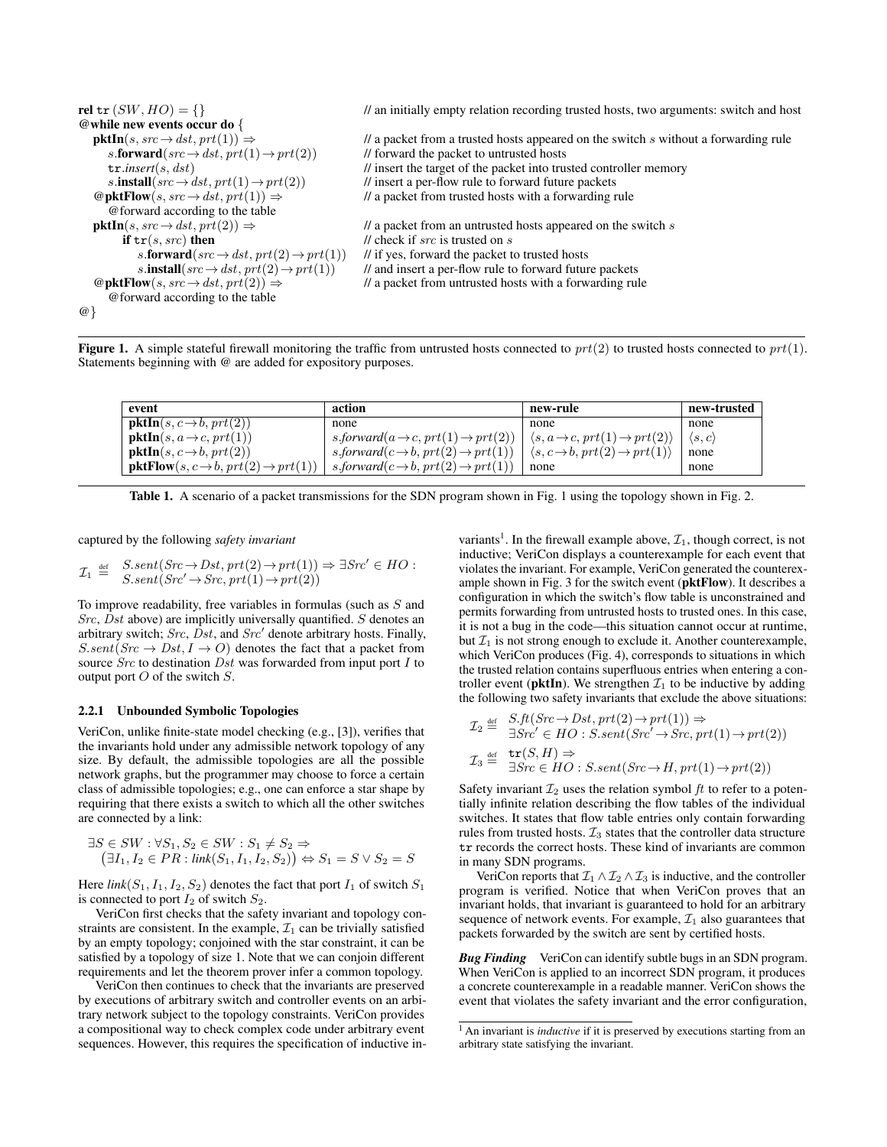| rel tr $(SW, HO) = \{\}$                                                                         | // an initially empty relation recording trusted hosts, two arguments: switch and host         |
|--------------------------------------------------------------------------------------------------|------------------------------------------------------------------------------------------------|
| @while new events occur do {                                                                     |                                                                                                |
| $pktIn(s, src \rightarrow dst, prt(1)) \Rightarrow$                                              | $\frac{1}{2}$ a packet from a trusted hosts appeared on the switch s without a forwarding rule |
| s.forward $(\textit{src} \rightarrow \textit{dst}, \textit{prt}(1) \rightarrow \textit{prt}(2))$ | // forward the packet to untrusted hosts                                                       |
| $\texttt{tr.insert}(s, \textit{dst})$                                                            | // insert the target of the packet into trusted controller memory                              |
| s.install( $src \rightarrow dst, prt(1) \rightarrow prt(2)$ )                                    | // insert a per-flow rule to forward future packets                                            |
| $\mathcal{Q}$ pktFlow $(s, src \rightarrow dst, prt(1)) \Rightarrow$                             | // a packet from trusted hosts with a forwarding rule                                          |
| @forward according to the table                                                                  |                                                                                                |
| $pktIn(s, src \rightarrow dst, prt(2)) \Rightarrow$                                              | $\frac{1}{2}$ a packet from an untrusted hosts appeared on the switch $s$                      |
| if $tr(s, src)$ then                                                                             | // check if $src$ is trusted on $s$                                                            |
| s.forward $(src \rightarrow dst, prt(2) \rightarrow prt(1))$                                     | // if yes, forward the packet to trusted hosts                                                 |
| s.install( $src \rightarrow dst, prt(2) \rightarrow prt(1)$ )                                    | // and insert a per-flow rule to forward future packets                                        |
| $\mathcal{Q}$ pktFlow $(s, src \rightarrow dst, prt(2)) \Rightarrow$                             | // a packet from untrusted hosts with a forwarding rule                                        |
| @forward according to the table                                                                  |                                                                                                |
| @                                                                                                |                                                                                                |
|                                                                                                  |                                                                                                |

Figure 1. A simple stateful firewall monitoring the traffic from untrusted hosts connected to  $prt(2)$  to trusted hosts connected to  $prt(1)$ . Statements beginning with @ are added for expository purposes.

| event                                                                                                                     | action                                                                                                                   | new-rule | new-trusted            |
|---------------------------------------------------------------------------------------------------------------------------|--------------------------------------------------------------------------------------------------------------------------|----------|------------------------|
| $pktIn(s, c \rightarrow b, prt(2))$                                                                                       | none                                                                                                                     | none     | none                   |
| <b>pktIn</b> $(s, a \rightarrow c, prt(1))$                                                                               | s.forward $(a \rightarrow c, prt(1) \rightarrow prt(2))   \langle s, a \rightarrow c, prt(1) \rightarrow prt(2) \rangle$ |          | $\langle s, c \rangle$ |
| <b>pktIn</b> $(s, c \rightarrow b, prt(2))$                                                                               | s.forward $(c \rightarrow b, prt(2) \rightarrow prt(1))   \langle s, c \rightarrow b, prt(2) \rightarrow prt(1) \rangle$ |          | none                   |
| <b>pktFlow</b> $(s, c \rightarrow b, prt(2) \rightarrow prt(1))$ s.forward $(c \rightarrow b, prt(2) \rightarrow prt(1))$ |                                                                                                                          | none     | none                   |

Table 1. A scenario of a packet transmissions for the SDN program shown in Fig. 1 using the topology shown in Fig. 2.

captured by the following *safety invariant*

$$
\mathcal{I}_1 \stackrel{\text{def}}{=} \frac{S.\text{sent}(Src \rightarrow Dst, prt(2) \rightarrow prt(1)) \Rightarrow \exists Src' \in HO : }{S.\text{sent}(Src' \rightarrow Src, prt(1) \rightarrow prt(2))}
$$

To improve readability, free variables in formulas (such as  $S$  and Src, Dst above) are implicitly universally quantified. S denotes an arbitrary switch; Src,  $\overline{D}st$ , and Src' denote arbitrary hosts. Finally,  $S sent(Src \rightarrow Dst, I \rightarrow O)$  denotes the fact that a packet from source  $Src$  to destination  $Dst$  was forwarded from input port  $I$  to output port  $O$  of the switch  $S$ .

#### 2.2.1 Unbounded Symbolic Topologies

VeriCon, unlike finite-state model checking (e.g., [3]), verifies that the invariants hold under any admissible network topology of any size. By default, the admissible topologies are all the possible network graphs, but the programmer may choose to force a certain class of admissible topologies; e.g., one can enforce a star shape by requiring that there exists a switch to which all the other switches are connected by a link:

$$
\exists S \in SW : \forall S_1, S_2 \in SW : S_1 \neq S_2 \Rightarrow (\exists I_1, I_2 \in PR : link(S_1, I_1, I_2, S_2)) \Leftrightarrow S_1 = S \vee S_2 = S
$$

Here  $link(S_1, I_1, I_2, S_2)$  denotes the fact that port  $I_1$  of switch  $S_1$ is connected to port  $I_2$  of switch  $S_2$ .

VeriCon first checks that the safety invariant and topology constraints are consistent. In the example,  $\mathcal{I}_1$  can be trivially satisfied by an empty topology; conjoined with the star constraint, it can be satisfied by a topology of size 1. Note that we can conjoin different requirements and let the theorem prover infer a common topology.

VeriCon then continues to check that the invariants are preserved by executions of arbitrary switch and controller events on an arbitrary network subject to the topology constraints. VeriCon provides a compositional way to check complex code under arbitrary event sequences. However, this requires the specification of inductive in-

variants<sup>1</sup>. In the firewall example above,  $\mathcal{I}_1$ , though correct, is not inductive; VeriCon displays a counterexample for each event that violates the invariant. For example, VeriCon generated the counterexample shown in Fig. 3 for the switch event (pktFlow). It describes a configuration in which the switch's flow table is unconstrained and permits forwarding from untrusted hosts to trusted ones. In this case, it is not a bug in the code—this situation cannot occur at runtime, but  $\mathcal{I}_1$  is not strong enough to exclude it. Another counterexample, which VeriCon produces (Fig. 4), corresponds to situations in which the trusted relation contains superfluous entries when entering a controller event (pktIn). We strengthen  $\mathcal{I}_1$  to be inductive by adding the following two safety invariants that exclude the above situations:

$$
\mathcal{I}_2 \stackrel{\text{def}}{=} \frac{S.f(t(Src \to Dst, prt(2) \to prt(1)) \Rightarrow}{\exists Src' \in HO : S.sent(Src' \to Src, prt(1) \to prt(2))}
$$
\n
$$
\mathcal{I}_3 \stackrel{\text{def}}{=} \frac{\text{tr}(S, H) \Rightarrow}{\exists Src \in HO : S.sent(Src \to H, prt(1) \to prt(2))}
$$

Safety invariant  $\mathcal{I}_2$  uses the relation symbol  $ft$  to refer to a potentially infinite relation describing the flow tables of the individual switches. It states that flow table entries only contain forwarding rules from trusted hosts.  $\mathcal{I}_3$  states that the controller data structure tr records the correct hosts. These kind of invariants are common in many SDN programs.

VeriCon reports that  $\mathcal{I}_1 \wedge \mathcal{I}_2 \wedge \mathcal{I}_3$  is inductive, and the controller program is verified. Notice that when VeriCon proves that an invariant holds, that invariant is guaranteed to hold for an arbitrary sequence of network events. For example,  $\mathcal{I}_1$  also guarantees that packets forwarded by the switch are sent by certified hosts.

*Bug Finding* VeriCon can identify subtle bugs in an SDN program. When VeriCon is applied to an incorrect SDN program, it produces a concrete counterexample in a readable manner. VeriCon shows the event that violates the safety invariant and the error configuration,

<sup>&</sup>lt;sup>1</sup> An invariant is *inductive* if it is preserved by executions starting from an arbitrary state satisfying the invariant.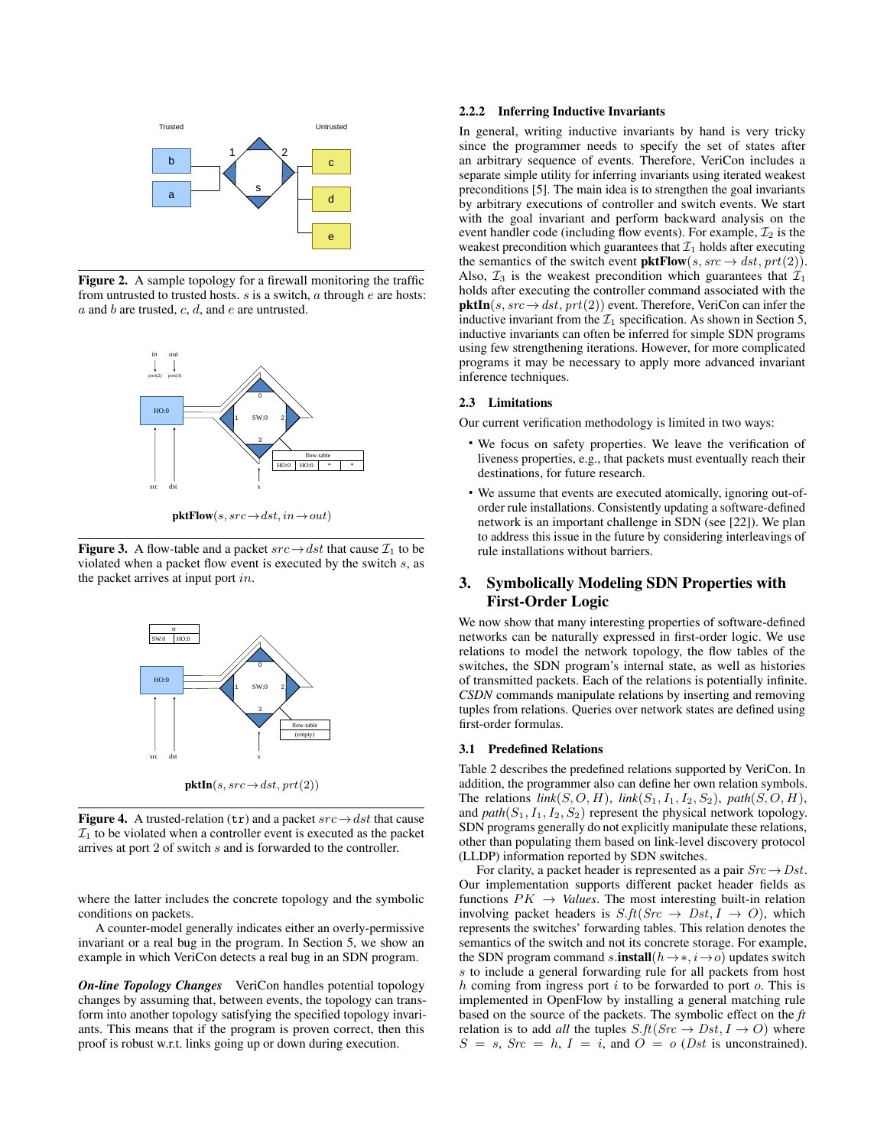

Figure 2. A sample topology for a firewall monitoring the traffic from untrusted to trusted hosts.  $s$  is a switch,  $a$  through  $e$  are hosts:  $a$  and  $b$  are trusted,  $c$ ,  $d$ , and  $e$  are untrusted.



 $$ 

**Figure 3.** A flow-table and a packet  $src \rightarrow dst$  that cause  $\mathcal{I}_1$  to be violated when a packet flow event is executed by the switch s, as the packet arrives at input port in.



 ${\rm pktIn}(s, src \rightarrow dst, prt(2))$ 

Figure 4. A trusted-relation ( $tr$ ) and a packet  $src \rightarrow dst$  that cause  $I_1$  to be violated when a controller event is executed as the packet arrives at port 2 of switch s and is forwarded to the controller.

where the latter includes the concrete topology and the symbolic conditions on packets.

A counter-model generally indicates either an overly-permissive invariant or a real bug in the program. In Section 5, we show an example in which VeriCon detects a real bug in an SDN program.

*On-line Topology Changes* VeriCon handles potential topology changes by assuming that, between events, the topology can transform into another topology satisfying the specified topology invariants. This means that if the program is proven correct, then this proof is robust w.r.t. links going up or down during execution.

# 2.2.2 Inferring Inductive Invariants

In general, writing inductive invariants by hand is very tricky since the programmer needs to specify the set of states after an arbitrary sequence of events. Therefore, VeriCon includes a separate simple utility for inferring invariants using iterated weakest preconditions [5]. The main idea is to strengthen the goal invariants by arbitrary executions of controller and switch events. We start with the goal invariant and perform backward analysis on the event handler code (including flow events). For example,  $\mathcal{I}_2$  is the weakest precondition which guarantees that  $\mathcal{I}_1$  holds after executing the semantics of the switch event  $\mathbf{pktFlow}(s, src \rightarrow dst, prt(2)).$ Also,  $\mathcal{I}_3$  is the weakest precondition which guarantees that  $\mathcal{I}_1$ holds after executing the controller command associated with the  **event. Therefore, VeriCon can infer the** inductive invariant from the  $\mathcal{I}_1$  specification. As shown in Section 5, inductive invariants can often be inferred for simple SDN programs using few strengthening iterations. However, for more complicated programs it may be necessary to apply more advanced invariant inference techniques.

#### 2.3 Limitations

Our current verification methodology is limited in two ways:

- We focus on safety properties. We leave the verification of liveness properties, e.g., that packets must eventually reach their destinations, for future research.
- We assume that events are executed atomically, ignoring out-oforder rule installations. Consistently updating a software-defined network is an important challenge in SDN (see [22]). We plan to address this issue in the future by considering interleavings of rule installations without barriers.

# 3. Symbolically Modeling SDN Properties with First-Order Logic

We now show that many interesting properties of software-defined networks can be naturally expressed in first-order logic. We use relations to model the network topology, the flow tables of the switches, the SDN program's internal state, as well as histories of transmitted packets. Each of the relations is potentially infinite. *CSDN* commands manipulate relations by inserting and removing tuples from relations. Queries over network states are defined using first-order formulas.

#### 3.1 Predefined Relations

Table 2 describes the predefined relations supported by VeriCon. In addition, the programmer also can define her own relation symbols. The relations  $link(S, O, H)$ ,  $link(S_1, I_1, I_2, S_2)$ ,  $path(S, O, H)$ , and  $path(S_1, I_1, I_2, S_2)$  represent the physical network topology. SDN programs generally do not explicitly manipulate these relations, other than populating them based on link-level discovery protocol (LLDP) information reported by SDN switches.

For clarity, a packet header is represented as a pair  $Src \rightarrow Dst$ . Our implementation supports different packet header fields as functions  $PK \rightarrow Values$ . The most interesting built-in relation involving packet headers is  $S<sub>f</sub> t(Src \rightarrow Dst, I \rightarrow O)$ , which represents the switches' forwarding tables. This relation denotes the semantics of the switch and not its concrete storage. For example, the SDN program command s.install( $h \rightarrow *, i \rightarrow o$ ) updates switch s to include a general forwarding rule for all packets from host  $h$  coming from ingress port  $i$  to be forwarded to port  $o$ . This is implemented in OpenFlow by installing a general matching rule based on the source of the packets. The symbolic effect on the *ft* relation is to add *all* the tuples  $S.ft(Src \rightarrow Dst, I \rightarrow O)$  where  $S = s$ ,  $Src = h$ ,  $I = i$ , and  $O = o$  (*Dst* is unconstrained).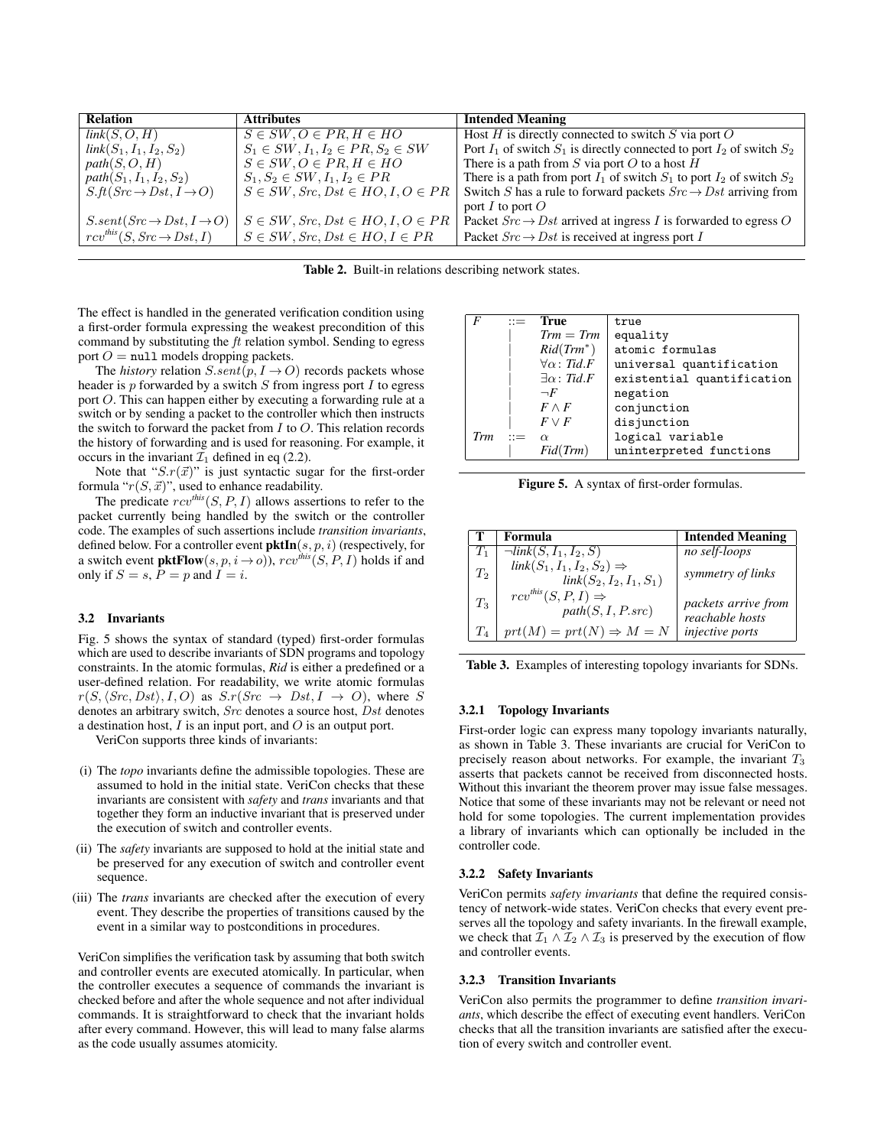| <b>Relation</b>                                 | <b>Attributes</b>                         | <b>Intended Meaning</b>                                                        |
|-------------------------------------------------|-------------------------------------------|--------------------------------------------------------------------------------|
| link(S, O, H)                                   | $S \in SW, O \in PR, H \in HO$            | Host $H$ is directly connected to switch $S$ via port $O$                      |
| $link(S_1, I_1, I_2, S_2)$                      | $S_1 \in SW, I_1, I_2 \in PR, S_2 \in SW$ | Port $I_1$ of switch $S_1$ is directly connected to port $I_2$ of switch $S_2$ |
| path(S, O, H)                                   | $S \in SW, O \in PR, H \in HO$            | There is a path from $S$ via port $O$ to a host $H$                            |
| $path(S_1, I_1, I_2, S_2)$                      | $S_1, S_2 \in SW, I_1, I_2 \in PR$        | There is a path from port $I_1$ of switch $S_1$ to port $I_2$ of switch $S_2$  |
| $S.ft(Src \rightarrow Dst, I \rightarrow O)$    | $S \in SW, Src, Dst \in HO, I, O \in PR$  | Switch S has a rule to forward packets $Src \rightarrow Dst$ arriving from     |
|                                                 |                                           | port I to port $O$                                                             |
| $S. sent(Src \rightarrow Dst, I \rightarrow O)$ | $S \in SW, Src, Dst \in HO, I, O \in PR$  | Packet $Src \rightarrow Dst$ arrived at ingress I is forwarded to egress O     |
| $rcv^{this}(S, Src \rightarrow Dst, I)$         | $S \in SW, Src, Dst \in HO, I \in PR$     | Packet $Src \rightarrow Dst$ is received at ingress port I                     |

Table 2. Built-in relations describing network states.

The effect is handled in the generated verification condition using a first-order formula expressing the weakest precondition of this command by substituting the  $ft$  relation symbol. Sending to egress port  $O = \text{null}$  models dropping packets.

The *history* relation  $S\text{.sent}(p, I \rightarrow O)$  records packets whose header is  $p$  forwarded by a switch  $S$  from ingress port  $I$  to egress port O. This can happen either by executing a forwarding rule at a switch or by sending a packet to the controller which then instructs the switch to forward the packet from  $I$  to  $O$ . This relation records the history of forwarding and is used for reasoning. For example, it occurs in the invariant  $\mathcal{I}_1$  defined in eq (2.2).

Note that " $S.r(\vec{x})$ " is just syntactic sugar for the first-order formula " $r(S, \vec{x})$ ", used to enhance readability.

The predicate  $rcv<sup>this</sup>(S, P, I)$  allows assertions to refer to the packet currently being handled by the switch or the controller code. The examples of such assertions include *transition invariants*, defined below. For a controller event  $\mathbf{pkIn}(s, p, i)$  (respectively, for a switch event **pktFlow** $(s, p, i \rightarrow o)$ ,  $rcv<sup>this</sup>(S, P, I)$  holds if and only if  $S = s$ ,  $P = p$  and  $I = i$ .

# 3.2 Invariants

Fig. 5 shows the syntax of standard (typed) first-order formulas which are used to describe invariants of SDN programs and topology constraints. In the atomic formulas, *Rid* is either a predefined or a user-defined relation. For readability, we write atomic formulas  $r(S, \langle Src, Dst \rangle, I, O)$  as  $S.r(Src \rightarrow Dst, I \rightarrow O)$ , where S denotes an arbitrary switch, Src denotes a source host, Dst denotes a destination host,  $I$  is an input port, and  $O$  is an output port.

VeriCon supports three kinds of invariants:

- (i) The *topo* invariants define the admissible topologies. These are assumed to hold in the initial state. VeriCon checks that these invariants are consistent with *safety* and *trans* invariants and that together they form an inductive invariant that is preserved under the execution of switch and controller events.
- (ii) The *safety* invariants are supposed to hold at the initial state and be preserved for any execution of switch and controller event sequence.
- (iii) The *trans* invariants are checked after the execution of every event. They describe the properties of transitions caused by the event in a similar way to postconditions in procedures.

VeriCon simplifies the verification task by assuming that both switch and controller events are executed atomically. In particular, when the controller executes a sequence of commands the invariant is checked before and after the whole sequence and not after individual commands. It is straightforward to check that the invariant holds after every command. However, this will lead to many false alarms as the code usually assumes atomicity.

|     | $\mathbf{C}$ | True                     | true                       |
|-----|--------------|--------------------------|----------------------------|
|     |              | $Trm = Trm$              | equality                   |
|     |              | $Rid(Trm^*)$             | atomic formulas            |
|     |              | $\forall \alpha$ : Tid.F | universal quantification   |
|     |              | $\exists \alpha$ : Tid.F | existential quantification |
|     |              | $\neg F$                 | negation                   |
|     |              | $F \wedge F$             | conjunction                |
|     |              | $F \vee F$               | disjunction                |
| Trm | $\cdot$ :=   | $\alpha$                 | logical variable           |
|     |              | Fid(Trm)                 | uninterpreted functions    |

Figure 5. A syntax of first-order formulas.

|       | <b>Formula</b>                                                       | <b>Intended Meaning</b>                |
|-------|----------------------------------------------------------------------|----------------------------------------|
| $T_1$ | $\neg\text{link}(S, I_1, I_2, S)$                                    | no self-loops                          |
| $T_2$ | $link(S_1, I_1, I_2, S_2) \Rightarrow$<br>$link(S_2, I_2, I_1, S_1)$ | symmetry of links                      |
| $T_3$ | $rcv^{this}(S, P, I) \Rightarrow$<br>path(S, I, P.src)               | packets arrive from<br>reachable hosts |
| $T_4$ | $prt(M) = prt(N) \Rightarrow M = N$                                  | injective ports                        |

Table 3. Examples of interesting topology invariants for SDNs.

#### 3.2.1 Topology Invariants

First-order logic can express many topology invariants naturally, as shown in Table 3. These invariants are crucial for VeriCon to precisely reason about networks. For example, the invariant  $T_3$ asserts that packets cannot be received from disconnected hosts. Without this invariant the theorem prover may issue false messages. Notice that some of these invariants may not be relevant or need not hold for some topologies. The current implementation provides a library of invariants which can optionally be included in the controller code.

#### 3.2.2 Safety Invariants

VeriCon permits *safety invariants* that define the required consistency of network-wide states. VeriCon checks that every event preserves all the topology and safety invariants. In the firewall example, we check that  $\mathcal{I}_1 \wedge \mathcal{I}_2 \wedge \mathcal{I}_3$  is preserved by the execution of flow and controller events.

#### 3.2.3 Transition Invariants

VeriCon also permits the programmer to define *transition invariants*, which describe the effect of executing event handlers. VeriCon checks that all the transition invariants are satisfied after the execution of every switch and controller event.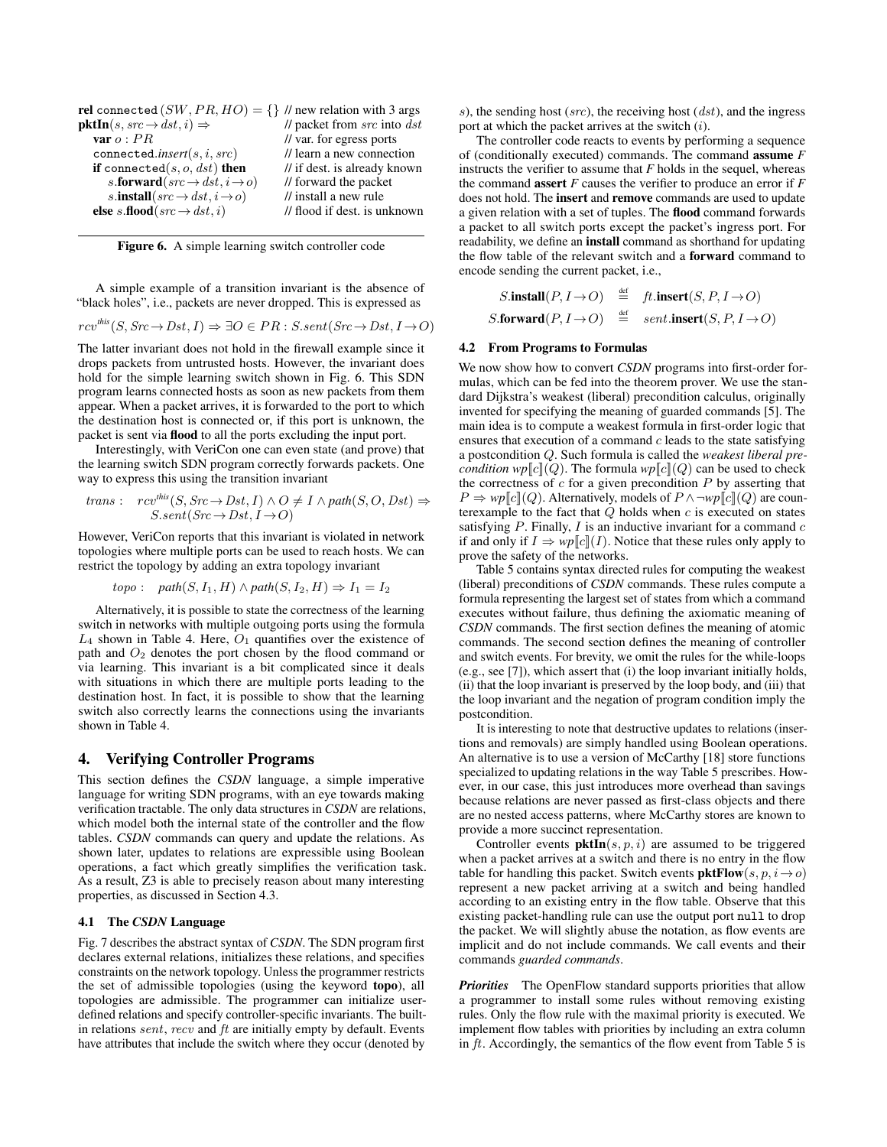| rel connected $(SW, PR, HO) = \{\}$ // new relation with 3 args      |                                  |
|----------------------------------------------------------------------|----------------------------------|
| $pktIn(s, src \rightarrow dst, i) \Rightarrow$                       | // packet from src into dst      |
| var $o:PR$                                                           | // var. for egress ports         |
| connected. <i>insert</i> $(s, i, src)$                               | // learn a new connection        |
| if connected(s, o, dst) then                                         | // if dest. is already known     |
| s.forward $(\mathit{src} \rightarrow \mathit{dst}, i \rightarrow o)$ | // forward the packet            |
| s.install $(src \rightarrow dst, i \rightarrow o)$                   | $\frac{1}{2}$ install a new rule |
| else s.flood $(src \rightarrow dst, i)$                              | // flood if dest. is unknown     |

Figure 6. A simple learning switch controller code

A simple example of a transition invariant is the absence of "black holes", i.e., packets are never dropped. This is expressed as

$$
rcv^{this}(S, Src \to Dst, I) \Rightarrow \exists O \in PR : S. sent(Src \to Dst, I \to O)
$$

The latter invariant does not hold in the firewall example since it drops packets from untrusted hosts. However, the invariant does hold for the simple learning switch shown in Fig. 6. This SDN program learns connected hosts as soon as new packets from them appear. When a packet arrives, it is forwarded to the port to which the destination host is connected or, if this port is unknown, the packet is sent via flood to all the ports excluding the input port.

Interestingly, with VeriCon one can even state (and prove) that the learning switch SDN program correctly forwards packets. One way to express this using the transition invariant

trans: 
$$
rcv^{this}(S, Src \to Dst, I) \land O \neq I \land path(S, O, Dst) \Rightarrow
$$
  
 $S.sent(Src \to Dst, I \to O)$ 

However, VeriCon reports that this invariant is violated in network topologies where multiple ports can be used to reach hosts. We can restrict the topology by adding an extra topology invariant

$$
topo: \quad path(S, I_1, H) \land path(S, I_2, H) \Rightarrow I_1 = I_2
$$

Alternatively, it is possible to state the correctness of the learning switch in networks with multiple outgoing ports using the formula  $L_4$  shown in Table 4. Here,  $O_1$  quantifies over the existence of path and  $O_2$  denotes the port chosen by the flood command or via learning. This invariant is a bit complicated since it deals with situations in which there are multiple ports leading to the destination host. In fact, it is possible to show that the learning switch also correctly learns the connections using the invariants shown in Table 4.

#### 4. Verifying Controller Programs

This section defines the *CSDN* language, a simple imperative language for writing SDN programs, with an eye towards making verification tractable. The only data structures in *CSDN* are relations, which model both the internal state of the controller and the flow tables. *CSDN* commands can query and update the relations. As shown later, updates to relations are expressible using Boolean operations, a fact which greatly simplifies the verification task. As a result, Z3 is able to precisely reason about many interesting properties, as discussed in Section 4.3.

#### 4.1 The *CSDN* Language

Fig. 7 describes the abstract syntax of *CSDN*. The SDN program first declares external relations, initializes these relations, and specifies constraints on the network topology. Unless the programmer restricts the set of admissible topologies (using the keyword topo), all topologies are admissible. The programmer can initialize userdefined relations and specify controller-specific invariants. The builtin relations  $sent$ ,  $recv$  and  $ft$  are initially empty by default. Events have attributes that include the switch where they occur (denoted by

s), the sending host ( $src$ ), the receiving host ( $dst$ ), and the ingress port at which the packet arrives at the switch  $(i)$ .

The controller code reacts to events by performing a sequence of (conditionally executed) commands. The command assume *F* instructs the verifier to assume that *F* holds in the sequel, whereas the command assert *F* causes the verifier to produce an error if *F* does not hold. The insert and remove commands are used to update a given relation with a set of tuples. The flood command forwards a packet to all switch ports except the packet's ingress port. For readability, we define an install command as shorthand for updating the flow table of the relevant switch and a forward command to encode sending the current packet, i.e.,

$$
S.\text{install}(P, I \to O) \stackrel{\text{def}}{=} \text{ft}.\text{insert}(S, P, I \to O)
$$
  

$$
S.\text{forward}(P, I \to O) \stackrel{\text{def}}{=} \text{sent}.\text{insert}(S, P, I \to O)
$$

#### 4.2 From Programs to Formulas

We now show how to convert *CSDN* programs into first-order formulas, which can be fed into the theorem prover. We use the standard Dijkstra's weakest (liberal) precondition calculus, originally invented for specifying the meaning of guarded commands [5]. The main idea is to compute a weakest formula in first-order logic that ensures that execution of a command  $c$  leads to the state satisfying a postcondition Q. Such formula is called the *weakest liberal precondition*  $wp[[c]](Q)$ . The formula  $wp[[c]](Q)$  can be used to check the correctness of  $c$  for a given precondition  $P$  by asserting that  $P \Rightarrow wp[[c]](Q)$ . Alternatively, models of  $P \land \neg wp[[c]](Q)$  are counterexample to the fact that  $Q$  holds when  $c$  is executed on states satisfying  $P$ . Finally,  $I$  is an inductive invariant for a command  $c$ if and only if  $I \Rightarrow wp[[c]](I)$ . Notice that these rules only apply to prove the safety of the networks.

Table 5 contains syntax directed rules for computing the weakest (liberal) preconditions of *CSDN* commands. These rules compute a formula representing the largest set of states from which a command executes without failure, thus defining the axiomatic meaning of *CSDN* commands. The first section defines the meaning of atomic commands. The second section defines the meaning of controller and switch events. For brevity, we omit the rules for the while-loops (e.g., see [7]), which assert that (i) the loop invariant initially holds, (ii) that the loop invariant is preserved by the loop body, and (iii) that the loop invariant and the negation of program condition imply the postcondition.

It is interesting to note that destructive updates to relations (insertions and removals) are simply handled using Boolean operations. An alternative is to use a version of McCarthy [18] store functions specialized to updating relations in the way Table 5 prescribes. However, in our case, this just introduces more overhead than savings because relations are never passed as first-class objects and there are no nested access patterns, where McCarthy stores are known to provide a more succinct representation.

Controller events  **are assumed to be triggered** when a packet arrives at a switch and there is no entry in the flow table for handling this packet. Switch events  $\mathbf{pktFlow}(s, p, i \rightarrow o)$ represent a new packet arriving at a switch and being handled according to an existing entry in the flow table. Observe that this existing packet-handling rule can use the output port null to drop the packet. We will slightly abuse the notation, as flow events are implicit and do not include commands. We call events and their commands *guarded commands*.

*Priorities* The OpenFlow standard supports priorities that allow a programmer to install some rules without removing existing rules. Only the flow rule with the maximal priority is executed. We implement flow tables with priorities by including an extra column in ft. Accordingly, the semantics of the flow event from Table 5 is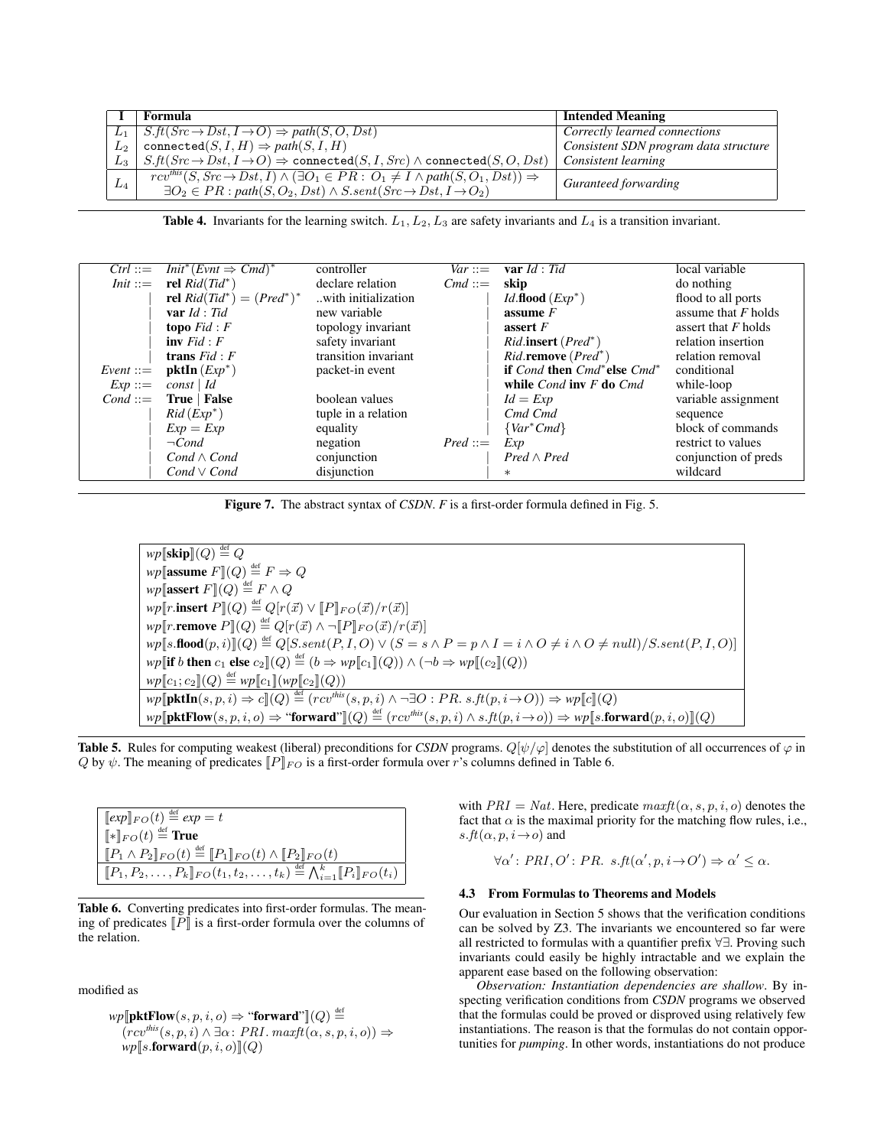|             | Formula                                                                                                                                                                                                               | <b>Intended Meaning</b>               |
|-------------|-----------------------------------------------------------------------------------------------------------------------------------------------------------------------------------------------------------------------|---------------------------------------|
|             | $L_1$ $S.ft(Src \to Dst, I \to O) \Rightarrow path(S, O, Dst)$                                                                                                                                                        | Correctly learned connections         |
|             | $L_2$ connected $(S, I, H) \Rightarrow path(S, I, H)$                                                                                                                                                                 | Consistent SDN program data structure |
|             | $L_3$ $S.ft(Src \to Dst, I \to O) \Rightarrow$ connected(S, I, Src) $\land$ connected(S, O, Dst)                                                                                                                      | Consistent learning                   |
| $L_{\rm 4}$ | $rcv^{this}(S, Src \rightarrow Dst, I) \land (\exists O_1 \in PR : O_1 \neq I \land path(S, O_1, Dst)) \Rightarrow$<br>$\exists O_2 \in PR : path(S, O_2, Dst) \wedge S sent(Src \rightarrow Dst, I \rightarrow O_2)$ | Guranteed forwarding                  |

**Table 4.** Invariants for the learning switch.  $L_1, L_2, L_3$  are safety invariants and  $L_4$  is a transition invariant.

| $Ctrl ::=$  | $Init^*(Evnt \Rightarrow Cmd)^*$        | controller           | $Var ::=$  | var $Id$ : Tid                    | local variable        |
|-------------|-----------------------------------------|----------------------|------------|-----------------------------------|-----------------------|
|             | <i>Init</i> ::= <b>rel</b> $Rid(Tid^*)$ | declare relation     | $Cmd ::=$  | skip                              | do nothing            |
|             | rel $Rid(Tid^*) = (Pred^*)^*$           | with initialization  |            | <i>Id.</i> <b>flood</b> $(EXp^*)$ | flood to all ports    |
|             | var $Id$ : Tid                          | new variable         |            | assume $F$                        | assume that $F$ holds |
|             | <b>topo</b> $Fid : F$                   | topology invariant   |            | assert $F$                        | assert that $F$ holds |
|             | $inv$ Fid: $F$                          | safety invariant     |            | $Rid$ . insert $(Pred^*)$         | relation insertion    |
|             | trans $Fid : F$                         | transition invariant |            | $Rid$ <b>remove</b> $(Pred^*)$    | relation removal      |
| $Event ::=$ | <b>pktIn</b> $(Exp^*)$                  | packet-in event      |            | if Cond then $Cmd^*$ else $Cmd^*$ | conditional           |
| $Exp ::=$   | $const \mid Id$                         |                      |            | while $Cond$ inv $F$ do $Cmd$     | while-loop            |
|             | $Cond ::=$ True   False                 | boolean values       |            | $Id = Exp$                        | variable assignment   |
|             | $Rid (Exp^*)$                           | tuple in a relation  |            | Cmd Cmd                           | sequence              |
|             | $Exp = Exp$                             | equality             |            | $\{Var^*Cmd\}$                    | block of commands     |
|             | $\neg Cond$                             | negation             | $Pred ::=$ | Exp                               | restrict to values    |
|             | $Cond \wedge Cond$                      | conjunction          |            | $Pred \wedge Pred$                | conjunction of preds  |
|             | $Cond \vee Cond$                        | disjunction          |            | $*$                               | wildcard              |

Figure 7. The abstract syntax of *CSDN*. *F* is a first-order formula defined in Fig. 5.

 $wp[\![\textbf{skip}]\!](Q) \stackrel{\text{def}}{=} Q$ *wp* [assume  $F$ ]  $(Q) \stackrel{\text{def}}{=} F \Rightarrow Q$ *wp* [assert  $F$ ] (Q)  $\stackrel{\text{def}}{=} F \land Q$  $wp[r].$ insert  $P \rrbracket(Q) \stackrel{\text{def}}{=} Q[r(\vec{x}) \vee \llbracket P \rrbracket_{FO}(\vec{x})/r(\vec{x})]$ *wp*[[*r*.**remove**  $P$ ]](Q)  $\stackrel{\text{def}}{=} Q[r(\vec{x}) \wedge \neg[P]$  *FO*( $\vec{x}$ )/ $r(\vec{x})$ ]  $wp[[s.\textbf{float}(p, i)]](Q) \stackrel{\text{def}}{=} Q[S.sent(P, I, O) \vee (S = s \wedge P = p \wedge I = i \wedge O \neq i \wedge O \neq null)/S.sent(P, I, O)]$ *wp*[[if *b* then  $c_1$  else  $c_2$ ] $(Q) \stackrel{\text{def}}{=} (b \Rightarrow wp[[c_1]](Q)) \land (\neg b \Rightarrow wp[[c_2]](Q))$  $wp[[c_1;c_2]](Q) \stackrel{\text{def}}{=} wp[[c_1]](wp[[c_2]](Q))$  $wp[\![\mathbf{pktIn}(s, p, i) \Rightarrow c]\!](Q) \stackrel{\text{def}}{=} (rcv^{this}(s, p, i) \land \neg \exists O : PR. s.ft(p, i \rightarrow O)) \Rightarrow wp[\![c]\!](Q)$  $wp[\![\mathbf{pktFlow}(s,p,i,o) \Rightarrow ``\mathbf{forward}''\!](Q) \stackrel{\text{def}}{=} (rcv^{this}(s,p,i) \land s\text{.}ft(p,i \to o)) \Rightarrow wp[\![s\text{.forward}(p,i,o)\!](Q)$ 

**Table 5.** Rules for computing weakest (liberal) preconditions for *CSDN* programs.  $Q[\psi/\varphi]$  denotes the substitution of all occurrences of  $\varphi$  in Q by  $\psi$ . The meaning of predicates  $[P]_{FO}$  is a first-order formula over r's columns defined in Table 6.

| $[\exp]_{FO}(t) \stackrel{\text{def}}{=} exp = t$                                                                                                                     |
|-----------------------------------------------------------------------------------------------------------------------------------------------------------------------|
| $\mathbb{F}\left[\mathbb{Z}_{FO}(t)\right]^{\text{def}}$ True                                                                                                         |
| $\  [P_1 \wedge P_2]_{FO}(t) \stackrel{\text{def}}{=} [P_1]_{FO}(t) \wedge [P_2]_{FO}(t)$                                                                             |
| $\boxed{\llbracket P_1, P_2, \ldots, P_k \rrbracket_{FO}(t_1, t_2, \ldots, t_k) \stackrel{\text{def}}{=} \bigwedge_{i=1}^k \llbracket P_i \rrbracket_{FO}(t_i) \mid}$ |

Table 6. Converting predicates into first-order formulas. The meaning of predicates  $\overline{P}$  is a first-order formula over the columns of the relation.

modified as

$$
\begin{array}{c} {\it wp}[\![{\bf pktFlow}(s,p,i,o) \Rightarrow ``{\bf forward}'']\!](Q) \stackrel{\rm def}{=} \\ ({\it rcv}^{\it this}(s,p,i) \land \exists \alpha \colon {\it PRI}.\ {\it maxft}(\alpha,s,p,i,o)) \Rightarrow \\ {\it wp}[\![{\bf s.forward}(p,i,o)]\!](Q) \end{array}
$$

with  $PRI = Nat$ . Here, predicate  $\text{maxft}(\alpha, s, p, i, o)$  denotes the fact that  $\alpha$  is the maximal priority for the matching flow rules, i.e., s.ft( $\alpha, p, i \rightarrow o$ ) and

$$
\forall \alpha': PRI, O': PR. s.ft(\alpha', p, i \to O') \Rightarrow \alpha' \leq \alpha.
$$

#### 4.3 From Formulas to Theorems and Models

Our evaluation in Section 5 shows that the verification conditions can be solved by Z3. The invariants we encountered so far were all restricted to formulas with a quantifier prefix ∀∃. Proving such invariants could easily be highly intractable and we explain the apparent ease based on the following observation:

*Observation: Instantiation dependencies are shallow*. By inspecting verification conditions from *CSDN* programs we observed that the formulas could be proved or disproved using relatively few instantiations. The reason is that the formulas do not contain opportunities for *pumping*. In other words, instantiations do not produce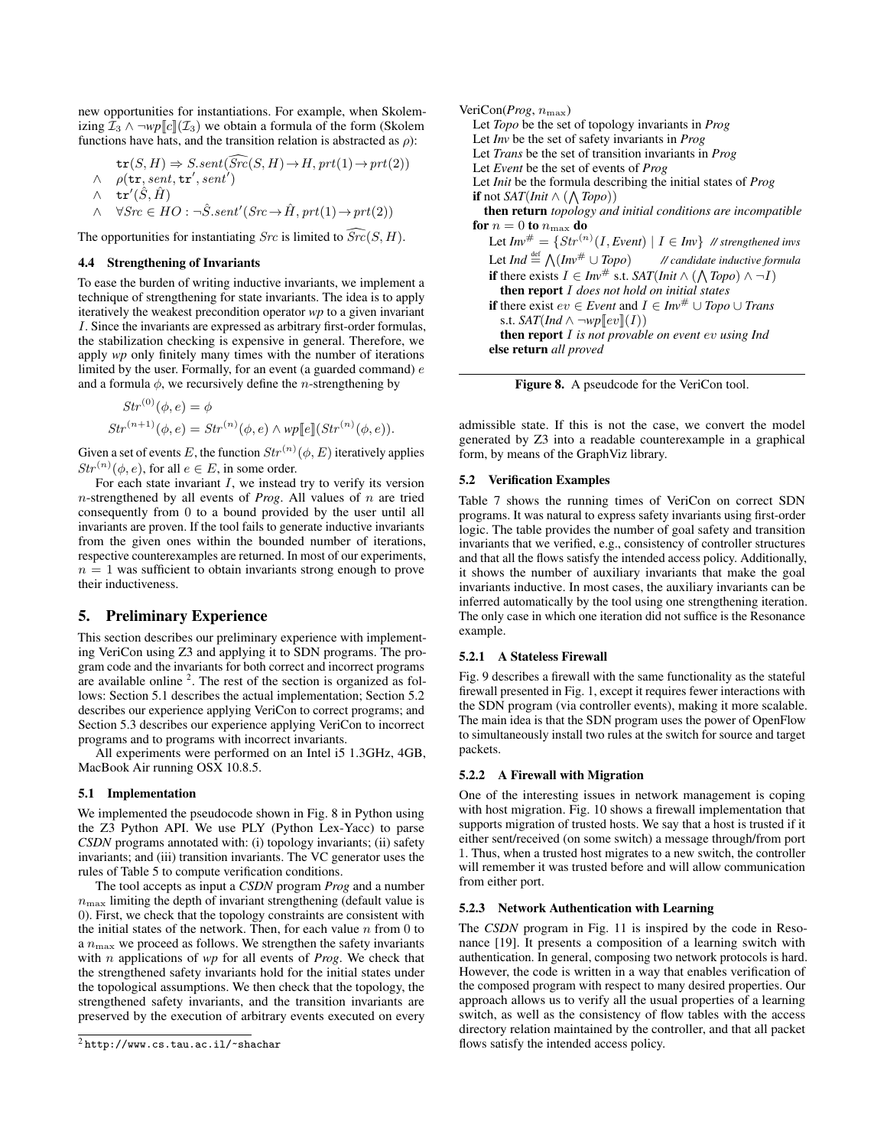new opportunities for instantiations. For example, when Skolemizing  $\mathcal{I}_3 \wedge \neg \mathit{wp}[c](\mathcal{I}_3)$  we obtain a formula of the form (Skolem functions have hats, and the transition relation is abstracted as  $\rho$ ):

$$
\mathbf{tr}(S, H) \Rightarrow S.\mathit{sent}(\widehat{\mathit{Src}}(S, H) \to H, \mathit{prt}(1) \to \mathit{prt}(2))
$$
  

$$
\land \quad \rho(\mathbf{tr}, \mathit{sent}, \mathbf{tr}', \mathit{sent}')
$$

$$
\wedge \quad \overleftrightarrow{\mathtt{tr}'(\hat{S}, \hat{H})}
$$

 $\wedge \quad \forall \textit{Src} \in HO : \neg \hat{S}.sent'(\textit{Src} \rightarrow \hat{H}, \textit{prt}(1) \rightarrow \textit{prt}(2))$ 

The opportunities for instantiating  $Src$  is limited to  $\widehat{Src}(S, H)$ .

#### 4.4 Strengthening of Invariants

To ease the burden of writing inductive invariants, we implement a technique of strengthening for state invariants. The idea is to apply iteratively the weakest precondition operator *wp* to a given invariant I. Since the invariants are expressed as arbitrary first-order formulas, the stabilization checking is expensive in general. Therefore, we apply *wp* only finitely many times with the number of iterations limited by the user. Formally, for an event (a guarded command) e and a formula  $\phi$ , we recursively define the *n*-strengthening by

$$
Str^{(0)}(\phi, e) = \phi
$$
  

$$
Str^{(n+1)}(\phi, e) = Str^{(n)}(\phi, e) \wedge wp[[e]](Str^{(n)}(\phi, e)).
$$

Given a set of events E, the function  $Str^{(n)}(\phi, E)$  iteratively applies  $Str^{(n)}(\phi, e)$ , for all  $e \in E$ , in some order.

For each state invariant  $I$ , we instead try to verify its version n-strengthened by all events of *Prog*. All values of n are tried consequently from 0 to a bound provided by the user until all invariants are proven. If the tool fails to generate inductive invariants from the given ones within the bounded number of iterations, respective counterexamples are returned. In most of our experiments,  $n = 1$  was sufficient to obtain invariants strong enough to prove their inductiveness.

#### 5. Preliminary Experience

This section describes our preliminary experience with implementing VeriCon using Z3 and applying it to SDN programs. The program code and the invariants for both correct and incorrect programs are available online  $2$ . The rest of the section is organized as follows: Section 5.1 describes the actual implementation; Section 5.2 describes our experience applying VeriCon to correct programs; and Section 5.3 describes our experience applying VeriCon to incorrect programs and to programs with incorrect invariants.

All experiments were performed on an Intel i5 1.3GHz, 4GB, MacBook Air running OSX 10.8.5.

#### 5.1 Implementation

We implemented the pseudocode shown in Fig. 8 in Python using the Z3 Python API. We use PLY (Python Lex-Yacc) to parse *CSDN* programs annotated with: (i) topology invariants; (ii) safety invariants; and (iii) transition invariants. The VC generator uses the rules of Table 5 to compute verification conditions.

The tool accepts as input a *CSDN* program *Prog* and a number  $n_{\text{max}}$  limiting the depth of invariant strengthening (default value is 0). First, we check that the topology constraints are consistent with the initial states of the network. Then, for each value  $n$  from 0 to a  $n_{\text{max}}$  we proceed as follows. We strengthen the safety invariants with n applications of *wp* for all events of *Prog*. We check that the strengthened safety invariants hold for the initial states under the topological assumptions. We then check that the topology, the strengthened safety invariants, and the transition invariants are preserved by the execution of arbitrary events executed on every VeriCon( $Prog, n_{\text{max}}$ )

Let *Topo* be the set of topology invariants in *Prog*

Let *Inv* be the set of safety invariants in *Prog* Let *Trans* be the set of transition invariants in *Prog*

Let *Event* be the set of events of *Prog*

Let *Init* be the formula describing the initial states of *Prog* **if** not *SAT*(*Init* ∧ ( $\bigwedge$  *Topo*))

then return *topology and initial conditions are incompatible* for  $n = 0$  to  $n_{\text{max}}$  do

Let  $Inv^{\#} = \{Str^{(n)}(I, Event) \mid I \in Inv \}$  // strengthened invs Let Ind  $\stackrel{\text{def}}{=} \bigwedge (Inv^{\#} \cup Topo)$  // candidate inductive formula **if** there exists  $I \in Inv^{\#}$  s.t.  $SAT(Init \wedge (\wedge Topo) \wedge \neg I)$ then report I *does not hold on initial states* **if** there exist  $ev \in Event$  and  $I \in Inv^{\#} \cup Topo \cup Trans$ s.t. *SAT*(*Ind*  $\land \neg wp[ev](I)$ )

then report I *is not provable on event* ev *using Ind* else return *all proved*



admissible state. If this is not the case, we convert the model generated by Z3 into a readable counterexample in a graphical form, by means of the GraphViz library.

#### 5.2 Verification Examples

Table 7 shows the running times of VeriCon on correct SDN programs. It was natural to express safety invariants using first-order logic. The table provides the number of goal safety and transition invariants that we verified, e.g., consistency of controller structures and that all the flows satisfy the intended access policy. Additionally, it shows the number of auxiliary invariants that make the goal invariants inductive. In most cases, the auxiliary invariants can be inferred automatically by the tool using one strengthening iteration. The only case in which one iteration did not suffice is the Resonance example.

#### 5.2.1 A Stateless Firewall

Fig. 9 describes a firewall with the same functionality as the stateful firewall presented in Fig. 1, except it requires fewer interactions with the SDN program (via controller events), making it more scalable. The main idea is that the SDN program uses the power of OpenFlow to simultaneously install two rules at the switch for source and target packets.

#### 5.2.2 A Firewall with Migration

One of the interesting issues in network management is coping with host migration. Fig. 10 shows a firewall implementation that supports migration of trusted hosts. We say that a host is trusted if it either sent/received (on some switch) a message through/from port 1. Thus, when a trusted host migrates to a new switch, the controller will remember it was trusted before and will allow communication from either port.

#### 5.2.3 Network Authentication with Learning

The *CSDN* program in Fig. 11 is inspired by the code in Resonance [19]. It presents a composition of a learning switch with authentication. In general, composing two network protocols is hard. However, the code is written in a way that enables verification of the composed program with respect to many desired properties. Our approach allows us to verify all the usual properties of a learning switch, as well as the consistency of flow tables with the access directory relation maintained by the controller, and that all packet flows satisfy the intended access policy.

<sup>2</sup> http://www.cs.tau.ac.il/~shachar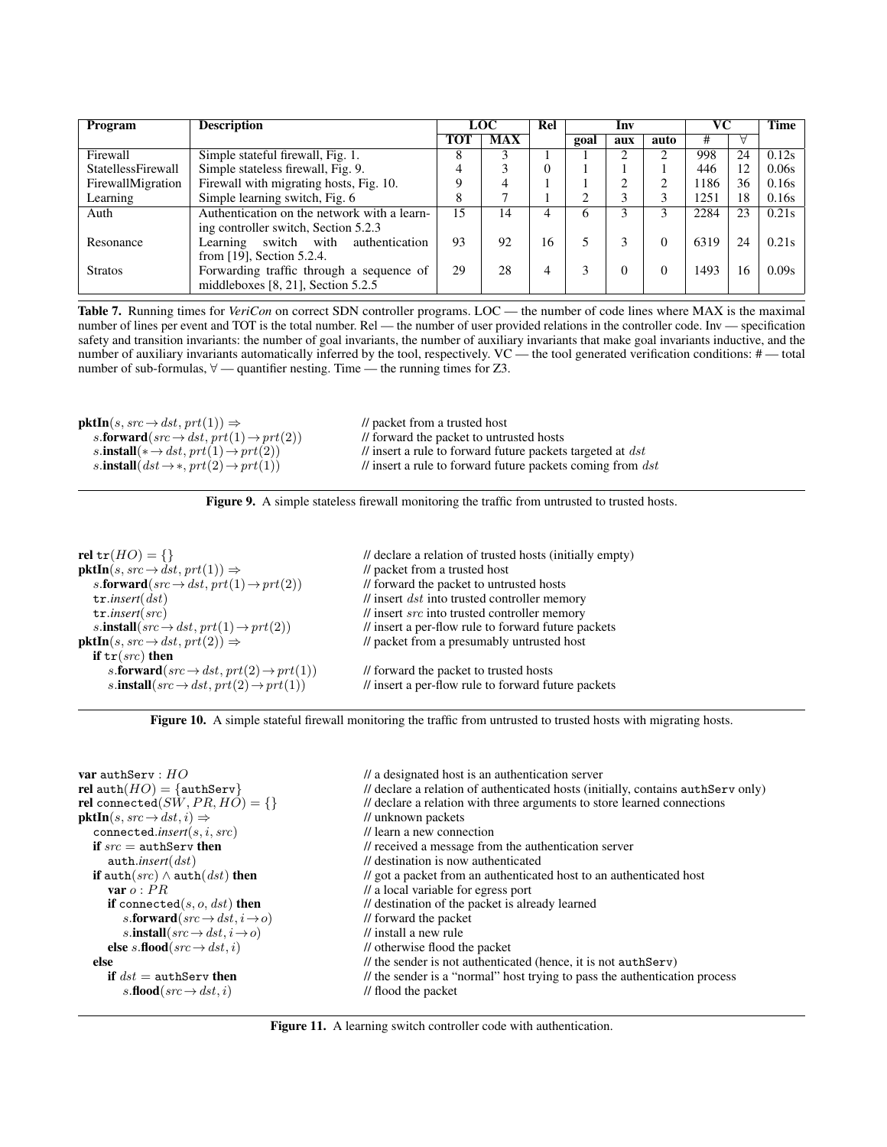| Program                   | <b>Description</b>                          |               | <b>LOC</b> |          | Inv  |     |          | VС   |    | <b>Time</b> |
|---------------------------|---------------------------------------------|---------------|------------|----------|------|-----|----------|------|----|-------------|
|                           |                                             | TOT           | <b>MAX</b> |          | goal | aux | auto     | #    | Α  |             |
| Firewall                  | Simple stateful firewall, Fig. 1.           |               |            |          |      |     |          | 998  | 24 | 0.12s       |
| <b>StatellessFirewall</b> | Simple stateless firewall, Fig. 9.          |               |            | $\Omega$ |      |     |          | 446  | 12 | 0.06s       |
| FirewallMigration         | Firewall with migrating hosts, Fig. 10.     |               |            |          |      | ◠   |          | 186  | 36 | 0.16s       |
| Learning                  | Simple learning switch, Fig. 6              | $\circ$<br>δ. |            |          | ◠    | 3   |          | 1251 | 18 | 0.16s       |
| Auth                      | Authentication on the network with a learn- | 15            | 14         | 4        | 6    | 3   |          | 2284 | 23 | 0.21s       |
|                           | ing controller switch, Section 5.2.3        |               |            |          |      |     |          |      |    |             |
| Resonance                 | Learning switch with<br>authentication      | 93            | 92         | 16       |      | 3   | $\Omega$ | 6319 | 24 | 0.21s       |
|                           | from [19], Section 5.2.4.                   |               |            |          |      |     |          |      |    |             |
| <b>Stratos</b>            | Forwarding traffic through a sequence of    | 29            | 28         | 4        | 3    | 0   | $\Omega$ | 1493 | 16 | 0.09s       |
|                           | middleboxes [8, 21], Section 5.2.5          |               |            |          |      |     |          |      |    |             |

Table 7. Running times for *VeriCon* on correct SDN controller programs. LOC — the number of code lines where MAX is the maximal number of lines per event and TOT is the total number. Rel — the number of user provided relations in the controller code. Inv — specification safety and transition invariants: the number of goal invariants, the number of auxiliary invariants that make goal invariants inductive, and the number of auxiliary invariants automatically inferred by the tool, respectively. VC — the tool generated verification conditions: # — total number of sub-formulas,  $\forall$  — quantifier nesting. Time — the running times for Z3.

| $\mathbf{pktIn}(s, src \rightarrow dst, prt(1)) \Rightarrow$  | // packet from a trusted host                                           |
|---------------------------------------------------------------|-------------------------------------------------------------------------|
| s.forward( $src \rightarrow dst, prt(1) \rightarrow prt(2)$ ) | // forward the packet to untrusted hosts                                |
| s.install(* $\rightarrow$ dst, prt(1) $\rightarrow$ prt(2))   | $\ell$ insert a rule to forward future packets targeted at $dst$        |
| s.install( $dst \rightarrow *, prt(2) \rightarrow prt(1)$ )   | $\frac{1}{2}$ insert a rule to forward future packets coming from $dst$ |



| rel $tr(HO) = \{\}$                                           | // declare a relation of trusted hosts (initially empty)              |
|---------------------------------------------------------------|-----------------------------------------------------------------------|
| $pktIn(s, src \rightarrow dst, prt(1)) \Rightarrow$           | // packet from a trusted host                                         |
| s.forward( $src \rightarrow dst, prt(1) \rightarrow prt(2)$ ) | // forward the packet to untrusted hosts                              |
| tr.insert(ds)                                                 | $\frac{1}{\sqrt{2}}$ insert <i>dst</i> into trusted controller memory |
| tr.insertsrc)                                                 | // insert src into trusted controller memory                          |
| s.install( $src \rightarrow dst, prt(1) \rightarrow prt(2)$ ) | // insert a per-flow rule to forward future packets                   |
| $pktIn(s, src \rightarrow dst, prt(2)) \Rightarrow$           | // packet from a presumably untrusted host                            |
| if $tr(src)$ then                                             |                                                                       |
| s.forward( $src \rightarrow dst, prt(2) \rightarrow prt(1)$ ) | // forward the packet to trusted hosts                                |
| s.install( $src \rightarrow dst, prt(2) \rightarrow prt(1)$ ) | // insert a per-flow rule to forward future packets                   |

Figure 10. A simple stateful firewall monitoring the traffic from untrusted to trusted hosts with migrating hosts.

| $\mathbf{var}$ authServ : $HO$                          | // a designated host is an authentication server                                 |  |  |  |
|---------------------------------------------------------|----------------------------------------------------------------------------------|--|--|--|
| $rel \text{auth}(HO) = \{\text{authServ}\}\$            | // declare a relation of authenticated hosts (initially, contains authServ only) |  |  |  |
| <b>rel</b> connected( <i>SW</i> , $PR$ , $HO$ ) = {}    | // declare a relation with three arguments to store learned connections          |  |  |  |
| $\mathbf{pktIn}(s, src \rightarrow dst, i) \Rightarrow$ | // unknown packets                                                               |  |  |  |
| connected.insert $(s, i, src)$                          | // learn a new connection                                                        |  |  |  |
| if $src = \text{authServ}$ then                         | // received a message from the authentication server                             |  |  |  |
| $\texttt{auth.insert}(\textit{dst})$                    | // destination is now authenticated                                              |  |  |  |
| if auth $(src) \wedge \text{auth}(dst)$ then            | // got a packet from an authenticated host to an authenticated host              |  |  |  |
| var $o:PR$                                              | // a local variable for egress port                                              |  |  |  |
| if connected(s, o, dst) then                            | // destination of the packet is already learned                                  |  |  |  |
| s.forward $(src \rightarrow dst, i \rightarrow o)$      | // forward the packet                                                            |  |  |  |
| s.install $(src \rightarrow dst, i \rightarrow o)$      | $\frac{1}{2}$ install a new rule                                                 |  |  |  |
| else s.flood(src $\rightarrow$ dst, i)                  | // otherwise flood the packet                                                    |  |  |  |
| else                                                    | // the sender is not authenticated (hence, it is not authServ)                   |  |  |  |
| if $dst = \text{authServ}$ then                         | // the sender is a "normal" host trying to pass the authentication process       |  |  |  |
| s.flood( $src \rightarrow dst, i$ )                     | // flood the packet                                                              |  |  |  |
|                                                         |                                                                                  |  |  |  |

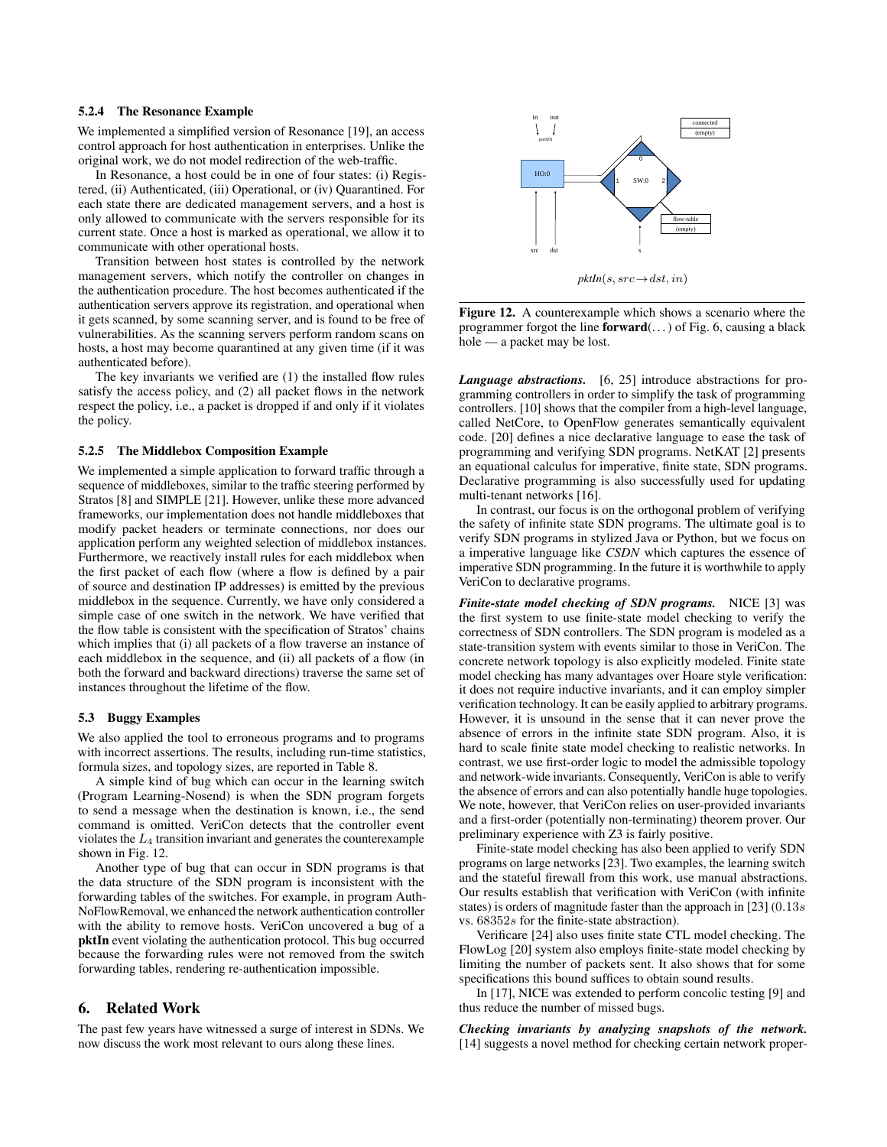#### 5.2.4 The Resonance Example

We implemented a simplified version of Resonance [19], an access control approach for host authentication in enterprises. Unlike the original work, we do not model redirection of the web-traffic.

In Resonance, a host could be in one of four states: (i) Registered, (ii) Authenticated, (iii) Operational, or (iv) Quarantined. For each state there are dedicated management servers, and a host is only allowed to communicate with the servers responsible for its current state. Once a host is marked as operational, we allow it to communicate with other operational hosts.

Transition between host states is controlled by the network management servers, which notify the controller on changes in the authentication procedure. The host becomes authenticated if the authentication servers approve its registration, and operational when it gets scanned, by some scanning server, and is found to be free of vulnerabilities. As the scanning servers perform random scans on hosts, a host may become quarantined at any given time (if it was authenticated before).

The key invariants we verified are (1) the installed flow rules satisfy the access policy, and (2) all packet flows in the network respect the policy, i.e., a packet is dropped if and only if it violates the policy.

#### 5.2.5 The Middlebox Composition Example

We implemented a simple application to forward traffic through a sequence of middleboxes, similar to the traffic steering performed by Stratos [8] and SIMPLE [21]. However, unlike these more advanced frameworks, our implementation does not handle middleboxes that modify packet headers or terminate connections, nor does our application perform any weighted selection of middlebox instances. Furthermore, we reactively install rules for each middlebox when the first packet of each flow (where a flow is defined by a pair of source and destination IP addresses) is emitted by the previous middlebox in the sequence. Currently, we have only considered a simple case of one switch in the network. We have verified that the flow table is consistent with the specification of Stratos' chains which implies that (i) all packets of a flow traverse an instance of each middlebox in the sequence, and (ii) all packets of a flow (in both the forward and backward directions) traverse the same set of instances throughout the lifetime of the flow.

#### 5.3 Buggy Examples

We also applied the tool to erroneous programs and to programs with incorrect assertions. The results, including run-time statistics, formula sizes, and topology sizes, are reported in Table 8.

A simple kind of bug which can occur in the learning switch (Program Learning-Nosend) is when the SDN program forgets to send a message when the destination is known, i.e., the send command is omitted. VeriCon detects that the controller event violates the  $L_4$  transition invariant and generates the counterexample shown in Fig. 12.

Another type of bug that can occur in SDN programs is that the data structure of the SDN program is inconsistent with the forwarding tables of the switches. For example, in program Auth-NoFlowRemoval, we enhanced the network authentication controller with the ability to remove hosts. VeriCon uncovered a bug of a pktIn event violating the authentication protocol. This bug occurred because the forwarding rules were not removed from the switch forwarding tables, rendering re-authentication impossible.

# 6. Related Work

The past few years have witnessed a surge of interest in SDNs. We now discuss the work most relevant to ours along these lines.



Figure 12. A counterexample which shows a scenario where the programmer forgot the line **forward**( $\ldots$ ) of Fig. 6, causing a black hole — a packet may be lost.

*Language abstractions.* [6, 25] introduce abstractions for programming controllers in order to simplify the task of programming controllers. [10] shows that the compiler from a high-level language, called NetCore, to OpenFlow generates semantically equivalent code. [20] defines a nice declarative language to ease the task of programming and verifying SDN programs. NetKAT [2] presents an equational calculus for imperative, finite state, SDN programs. Declarative programming is also successfully used for updating multi-tenant networks [16].

In contrast, our focus is on the orthogonal problem of verifying the safety of infinite state SDN programs. The ultimate goal is to verify SDN programs in stylized Java or Python, but we focus on a imperative language like *CSDN* which captures the essence of imperative SDN programming. In the future it is worthwhile to apply VeriCon to declarative programs.

*Finite-state model checking of SDN programs.* NICE [3] was the first system to use finite-state model checking to verify the correctness of SDN controllers. The SDN program is modeled as a state-transition system with events similar to those in VeriCon. The concrete network topology is also explicitly modeled. Finite state model checking has many advantages over Hoare style verification: it does not require inductive invariants, and it can employ simpler verification technology. It can be easily applied to arbitrary programs. However, it is unsound in the sense that it can never prove the absence of errors in the infinite state SDN program. Also, it is hard to scale finite state model checking to realistic networks. In contrast, we use first-order logic to model the admissible topology and network-wide invariants. Consequently, VeriCon is able to verify the absence of errors and can also potentially handle huge topologies. We note, however, that VeriCon relies on user-provided invariants and a first-order (potentially non-terminating) theorem prover. Our preliminary experience with Z3 is fairly positive.

Finite-state model checking has also been applied to verify SDN programs on large networks [23]. Two examples, the learning switch and the stateful firewall from this work, use manual abstractions. Our results establish that verification with VeriCon (with infinite states) is orders of magnitude faster than the approach in [23] (0.13s vs. 68352s for the finite-state abstraction).

Verificare [24] also uses finite state CTL model checking. The FlowLog [20] system also employs finite-state model checking by limiting the number of packets sent. It also shows that for some specifications this bound suffices to obtain sound results.

In [17], NICE was extended to perform concolic testing [9] and thus reduce the number of missed bugs.

*Checking invariants by analyzing snapshots of the network.* [14] suggests a novel method for checking certain network proper-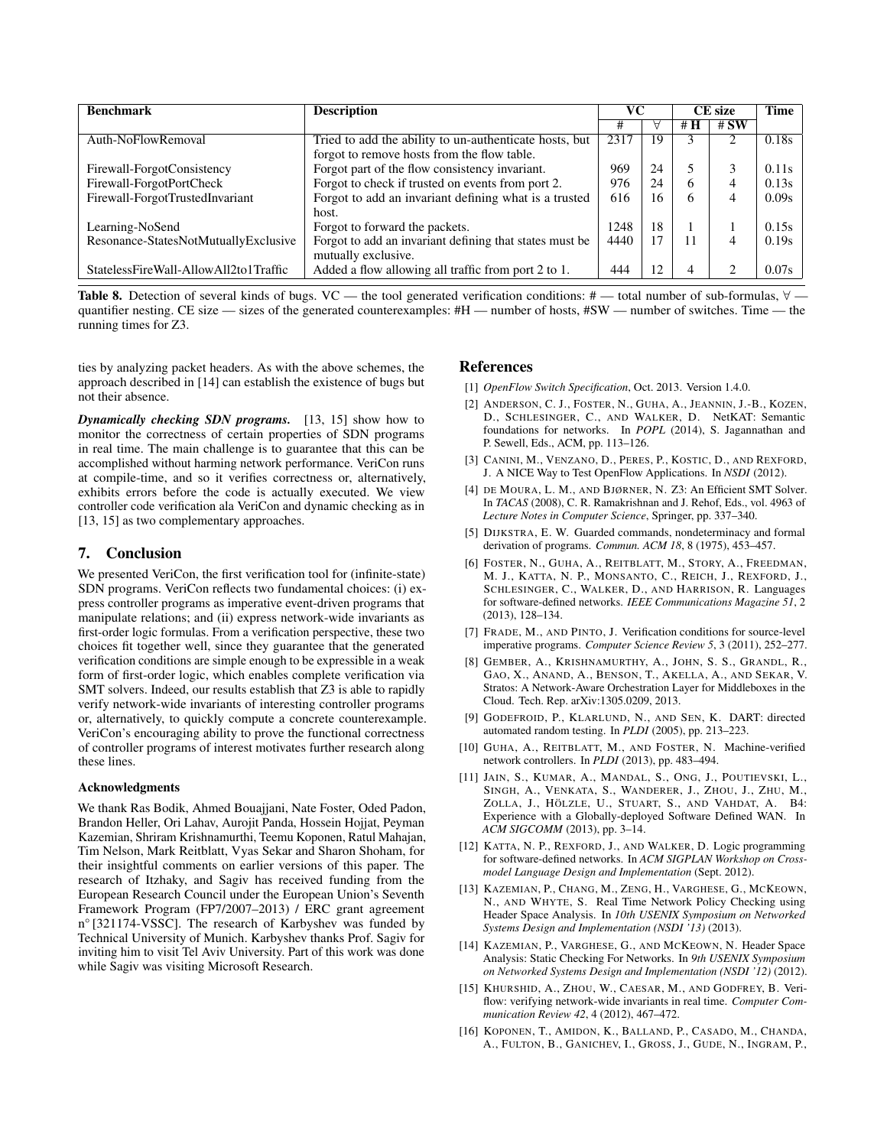| <b>Benchmark</b>                      | <b>Description</b>                                      | VС   |    | <b>CE</b> size |              | Time  |
|---------------------------------------|---------------------------------------------------------|------|----|----------------|--------------|-------|
|                                       |                                                         | #    |    | # $H$          | #SW          |       |
| Auth-NoFlowRemoval                    | Tried to add the ability to un-authenticate hosts, but  | 2317 | 19 |                |              | 0.18s |
|                                       | forgot to remove hosts from the flow table.             |      |    |                |              |       |
| Firewall-ForgotConsistency            | Forgot part of the flow consistency invariant.          | 969  | 24 |                | $\mathbf{3}$ | 0.11s |
| Firewall-ForgotPortCheck              | Forgot to check if trusted on events from port 2.       | 976  | 24 | 6              | 4            | 0.13s |
| Firewall-ForgotTrustedInvariant       | Forgot to add an invariant defining what is a trusted   | 616  | 16 | 6              | 4            | 0.09s |
|                                       | host.                                                   |      |    |                |              |       |
| Learning-NoSend                       | Forgot to forward the packets.                          | 1248 | 18 |                |              | 0.15s |
| Resonance-StatesNotMutuallyExclusive  | Forgot to add an invariant defining that states must be | 4440 | 17 |                | 4            | 0.19s |
|                                       | mutually exclusive.                                     |      |    |                |              |       |
| StatelessFireWall-AllowAll2to1Traffic | Added a flow allowing all traffic from port 2 to 1.     | 444  | 12 |                |              | 0.07s |

Table 8. Detection of several kinds of bugs. VC — the tool generated verification conditions: # — total number of sub-formulas,  $\forall$  quantifier nesting. CE size — sizes of the generated counterexamples: #H — number of hosts, #SW — number of switches. Time — the running times for Z3.

ties by analyzing packet headers. As with the above schemes, the approach described in [14] can establish the existence of bugs but not their absence.

*Dynamically checking SDN programs.* [13, 15] show how to monitor the correctness of certain properties of SDN programs in real time. The main challenge is to guarantee that this can be accomplished without harming network performance. VeriCon runs at compile-time, and so it verifies correctness or, alternatively, exhibits errors before the code is actually executed. We view controller code verification ala VeriCon and dynamic checking as in [13, 15] as two complementary approaches.

# 7. Conclusion

We presented VeriCon, the first verification tool for (infinite-state) SDN programs. VeriCon reflects two fundamental choices: (i) express controller programs as imperative event-driven programs that manipulate relations; and (ii) express network-wide invariants as first-order logic formulas. From a verification perspective, these two choices fit together well, since they guarantee that the generated verification conditions are simple enough to be expressible in a weak form of first-order logic, which enables complete verification via SMT solvers. Indeed, our results establish that Z3 is able to rapidly verify network-wide invariants of interesting controller programs or, alternatively, to quickly compute a concrete counterexample. VeriCon's encouraging ability to prove the functional correctness of controller programs of interest motivates further research along these lines.

# Acknowledgments

We thank Ras Bodik, Ahmed Bouajjani, Nate Foster, Oded Padon, Brandon Heller, Ori Lahav, Aurojit Panda, Hossein Hojjat, Peyman Kazemian, Shriram Krishnamurthi, Teemu Koponen, Ratul Mahajan, Tim Nelson, Mark Reitblatt, Vyas Sekar and Sharon Shoham, for their insightful comments on earlier versions of this paper. The research of Itzhaky, and Sagiv has received funding from the European Research Council under the European Union's Seventh Framework Program (FP7/2007–2013) / ERC grant agreement n° [321174-VSSC]. The research of Karbyshev was funded by Technical University of Munich. Karbyshev thanks Prof. Sagiv for inviting him to visit Tel Aviv University. Part of this work was done while Sagiv was visiting Microsoft Research.

# References

- [1] *OpenFlow Switch Specification*, Oct. 2013. Version 1.4.0.
- [2] ANDERSON, C. J., FOSTER, N., GUHA, A., JEANNIN, J.-B., KOZEN, D., SCHLESINGER, C., AND WALKER, D. NetKAT: Semantic foundations for networks. In *POPL* (2014), S. Jagannathan and P. Sewell, Eds., ACM, pp. 113–126.
- [3] CANINI, M., VENZANO, D., PERES, P., KOSTIC, D., AND REXFORD, J. A NICE Way to Test OpenFlow Applications. In *NSDI* (2012).
- [4] DE MOURA, L. M., AND BJØRNER, N. Z3: An Efficient SMT Solver. In *TACAS* (2008), C. R. Ramakrishnan and J. Rehof, Eds., vol. 4963 of *Lecture Notes in Computer Science*, Springer, pp. 337–340.
- [5] DIJKSTRA, E. W. Guarded commands, nondeterminacy and formal derivation of programs. *Commun. ACM 18*, 8 (1975), 453–457.
- [6] FOSTER, N., GUHA, A., REITBLATT, M., STORY, A., FREEDMAN, M. J., KATTA, N. P., MONSANTO, C., REICH, J., REXFORD, J., SCHLESINGER, C., WALKER, D., AND HARRISON, R. Languages for software-defined networks. *IEEE Communications Magazine 51*, 2 (2013), 128–134.
- [7] FRADE, M., AND PINTO, J. Verification conditions for source-level imperative programs. *Computer Science Review 5*, 3 (2011), 252–277.
- [8] GEMBER, A., KRISHNAMURTHY, A., JOHN, S. S., GRANDL, R., GAO, X., ANAND, A., BENSON, T., AKELLA, A., AND SEKAR, V. Stratos: A Network-Aware Orchestration Layer for Middleboxes in the Cloud. Tech. Rep. arXiv:1305.0209, 2013.
- [9] GODEFROID, P., KLARLUND, N., AND SEN, K. DART: directed automated random testing. In *PLDI* (2005), pp. 213–223.
- [10] GUHA, A., REITBLATT, M., AND FOSTER, N. Machine-verified network controllers. In *PLDI* (2013), pp. 483–494.
- [11] JAIN, S., KUMAR, A., MANDAL, S., ONG, J., POUTIEVSKI, L., SINGH, A., VENKATA, S., WANDERER, J., ZHOU, J., ZHU, M., ZOLLA, J., HÖLZLE, U., STUART, S., AND VAHDAT, A. B4: Experience with a Globally-deployed Software Defined WAN. In *ACM SIGCOMM* (2013), pp. 3–14.
- [12] KATTA, N. P., REXFORD, J., AND WALKER, D. Logic programming for software-defined networks. In *ACM SIGPLAN Workshop on Crossmodel Language Design and Implementation* (Sept. 2012).
- [13] KAZEMIAN, P., CHANG, M., ZENG, H., VARGHESE, G., MCKEOWN, N., AND WHYTE, S. Real Time Network Policy Checking using Header Space Analysis. In *10th USENIX Symposium on Networked Systems Design and Implementation (NSDI '13)* (2013).
- [14] KAZEMIAN, P., VARGHESE, G., AND MCKEOWN, N. Header Space Analysis: Static Checking For Networks. In *9th USENIX Symposium on Networked Systems Design and Implementation (NSDI '12)* (2012).
- [15] KHURSHID, A., ZHOU, W., CAESAR, M., AND GODFREY, B. Veriflow: verifying network-wide invariants in real time. *Computer Communication Review 42*, 4 (2012), 467–472.
- [16] KOPONEN, T., AMIDON, K., BALLAND, P., CASADO, M., CHANDA, A., FULTON, B., GANICHEV, I., GROSS, J., GUDE, N., INGRAM, P.,